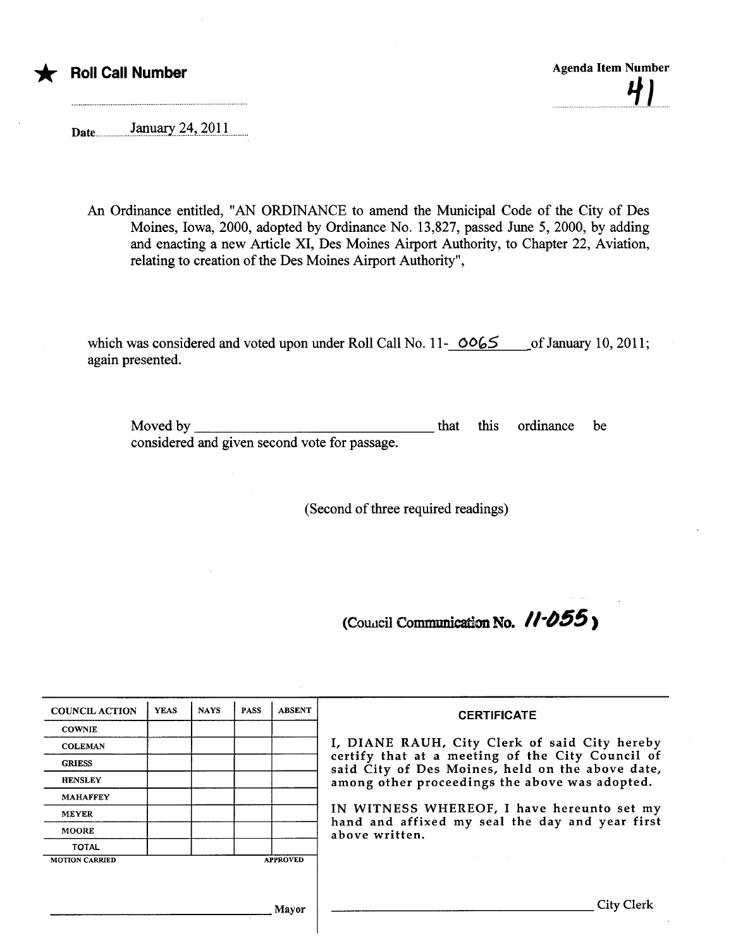

Daten.n..n.n.n...J..'.tlar..7.4.in.7..Q.Un.......n

An Ordinance entitled, "AN ORDINANCE to amend the Muncipal Code of the City of Des Moines, Iowa, 2000, adopted by Ordinance No. 13,827, passed June 5, 2000, by adding and enacting a new Aricle XI, Des Moines Airport Authority, to Chapter 22, Aviation, relating to creation of the Des Moines Airport Authority",

which was considered and voted upon under Roll Call No. 11- $\bigcirc 065$  of January 10, 2011; again presented.

Moved by considered and given second vote for passage. that this ordinance be

(Second of three required readings)

(Council Communication No.  $11 - 055$ )

| <b>COUNCIL ACTION</b> | <b>YEAS</b> | <b>NAYS</b> | <b>PASS</b> | <b>ABSENT</b>   | <b>CERTIFICATE</b>                                                                                                                                                                                                                                                                                                         |
|-----------------------|-------------|-------------|-------------|-----------------|----------------------------------------------------------------------------------------------------------------------------------------------------------------------------------------------------------------------------------------------------------------------------------------------------------------------------|
| <b>COWNIE</b>         |             |             |             |                 | I, DIANE RAUH, City Clerk of said City hereby<br>certify that at a meeting of the City Council of<br>said City of Des Moines, held on the above date,<br>among other proceedings the above was adopted.<br>IN WITNESS WHEREOF, I have hereunto set my<br>hand and affixed my seal the day and year first<br>above written. |
| <b>COLEMAN</b>        |             |             |             |                 |                                                                                                                                                                                                                                                                                                                            |
| <b>GRIESS</b>         |             |             |             |                 |                                                                                                                                                                                                                                                                                                                            |
| <b>HENSLEY</b>        |             |             |             |                 |                                                                                                                                                                                                                                                                                                                            |
| <b>MAHAFFEY</b>       |             |             |             |                 |                                                                                                                                                                                                                                                                                                                            |
| <b>MEYER</b>          |             |             |             |                 |                                                                                                                                                                                                                                                                                                                            |
| <b>MOORE</b>          |             |             |             |                 |                                                                                                                                                                                                                                                                                                                            |
| <b>TOTAL</b>          |             |             |             |                 |                                                                                                                                                                                                                                                                                                                            |
| <b>MOTION CARRIED</b> |             |             |             | <b>APPROVED</b> |                                                                                                                                                                                                                                                                                                                            |
|                       |             |             |             |                 |                                                                                                                                                                                                                                                                                                                            |
|                       |             |             |             |                 |                                                                                                                                                                                                                                                                                                                            |
|                       |             |             |             | Mayor           | City Clerk                                                                                                                                                                                                                                                                                                                 |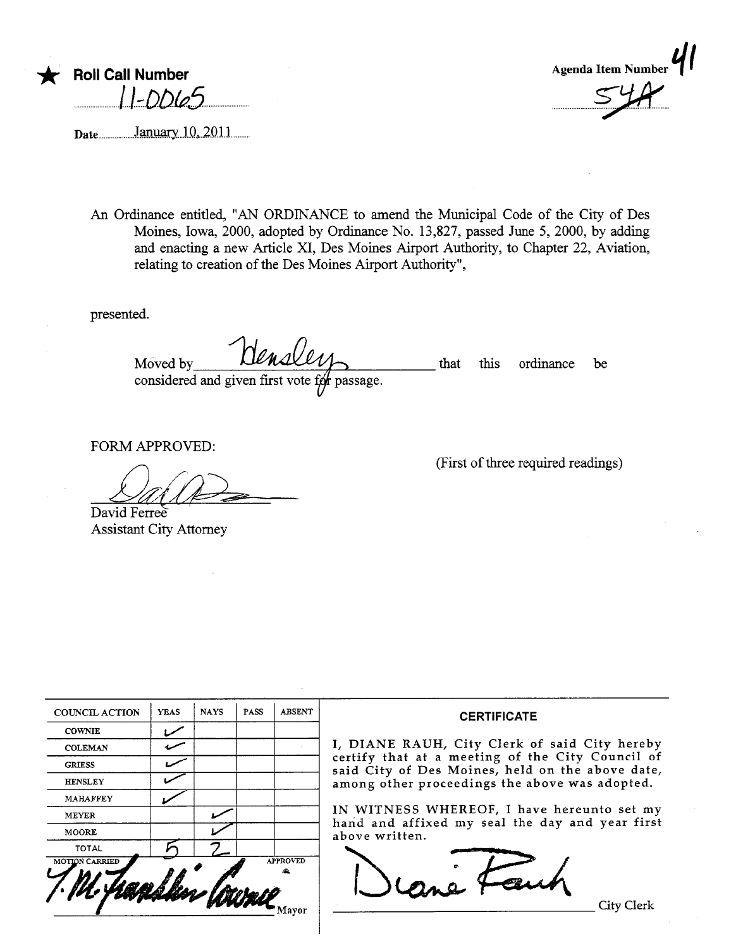

January 10, 2011 Date...



An Ordinance entitled, "AN ORDINANCE to amend the Municipal Code of the City of Des Moines, Iowa, 2000, adopted by Ordinance No. 13,827, passed June 5, 2000, by adding and enacting a new Article XI, Des Moines Airport Authority, to Chapter 22, Aviation, relating to creation of the Des Moines Airport Authority",

presented.

densler Moved by that this ordinance be considered and given first vote for passage.

FORM APPROVED:

David Ferree

**Assistant City Attorney** 

(First of three required readings)

| <b>COUNCIL ACTION</b> | <b>YEAS</b> | <b>NAYS</b> | <b>PASS</b> | <b>ABSENT</b>   |                                                                                                                                                                                                                                                                                                                                                  |  |
|-----------------------|-------------|-------------|-------------|-----------------|--------------------------------------------------------------------------------------------------------------------------------------------------------------------------------------------------------------------------------------------------------------------------------------------------------------------------------------------------|--|
| <b>COWNIE</b>         |             |             |             |                 | <b>CERTIFICATE</b><br>I, DIANE RAUH, City Clerk of said City hereby<br>certify that at a meeting of the City Council of<br>said City of Des Moines, held on the above date,<br>among other proceedings the above was adopted.<br>IN WITNESS WHEREOF, I have hereunto set my<br>hand and affixed my seal the day and year first<br>above written. |  |
| <b>COLEMAN</b>        |             |             |             |                 |                                                                                                                                                                                                                                                                                                                                                  |  |
| <b>GRIESS</b>         |             |             |             |                 |                                                                                                                                                                                                                                                                                                                                                  |  |
| <b>HENSLEY</b>        |             |             |             |                 |                                                                                                                                                                                                                                                                                                                                                  |  |
| <b>MAHAFFEY</b>       |             |             |             |                 |                                                                                                                                                                                                                                                                                                                                                  |  |
| <b>MEYER</b>          |             |             |             |                 |                                                                                                                                                                                                                                                                                                                                                  |  |
| <b>MOORE</b>          |             |             |             |                 |                                                                                                                                                                                                                                                                                                                                                  |  |
| <b>TOTAL</b>          |             |             |             |                 |                                                                                                                                                                                                                                                                                                                                                  |  |
| <b>MOTION CARRIED</b> |             |             |             | <b>APPROVED</b> |                                                                                                                                                                                                                                                                                                                                                  |  |
|                       |             |             |             |                 | City Clerk                                                                                                                                                                                                                                                                                                                                       |  |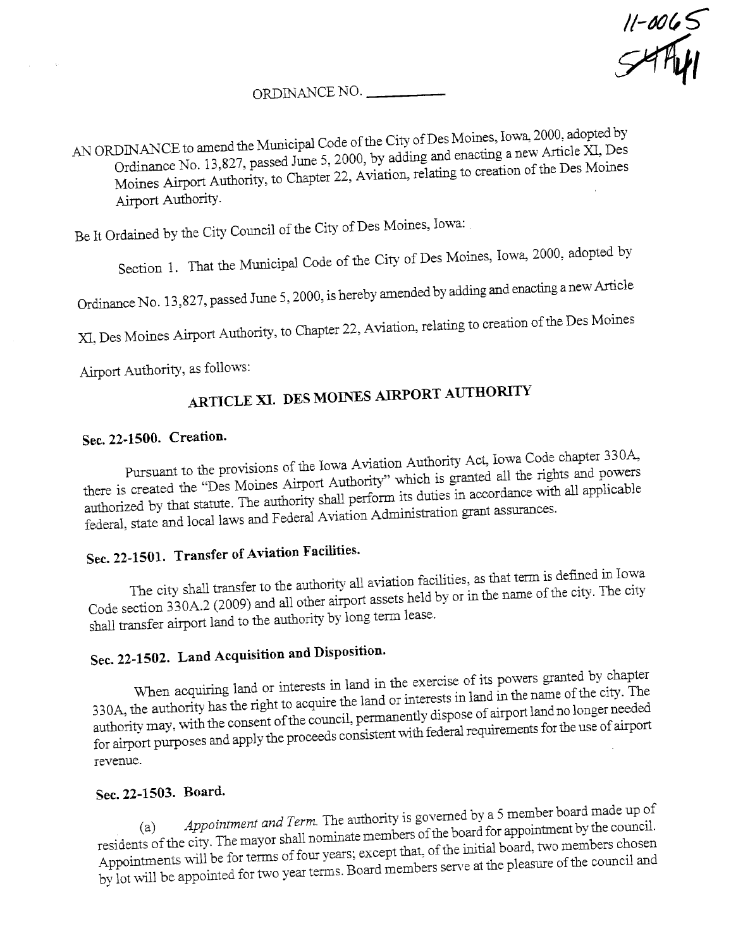$11-0065$ 

### ORDINANCE NO.

 $A$ N ORDINANCE to an the City of Des Moines, Iowa, 2000, adopted by Ordinance No. 13,827, passed June 5, 2000, by adding to a negation of the Des Moines  $M_{\rm UIII}$   $\sim$   $2.$   $\mu$   $\mu$   $\sim$   $2.$  Aviation, relation of creation of creation of creation of creation of creation of creation of creation of creation of creation of creation of creation of creation of creation of cre the Des Moines Airport Authority.

Be It Ordaied by the City Council of the City of Des Moines, Iowa:

Section 1. That the Municipal Code of the City of Des Moines, Iowa, 2000, adopted by

and enacting a new Article

the Des Moines

Airport Authority, as follows:

 $O_1$ uniance  $1$  (b),  $15,827,7$ 

 $X<sub>i</sub>,$  Des Moines  $X<sub>i</sub>$   $\rightarrow$   $Y<sub>i</sub>$ 

# ARTICLE XI. DES MOINES AIRPORT AUTHORITY

### Sec. 22-1500. Creation.

Pursuant to the provisions of the Iowa Aviation Authority Act, Iowa Code chapter 330. there is created the "Des Moines Airport Authority" which is granted all the rights and powers authorized by that statute. The authority shall perform its duties in accordance with all applicable federal, state and local laws and Federal Aviation Administration grant assurances.

## Sec.22-1501. Transfer of Aviation Facilties.

The city shall transfer to the authority all aviation facilities, as that term is defined in Iowa Code section 330 $\epsilon$  and  $\epsilon$  and all other air in the name of  $\epsilon$ the city. The city shall transfer airport land to the authority by long term lease.

## Sec. 22-1502. Land Acquisition and Disposition.

When acquiring land or interests in land in the exercise of its powers granted by chapter  $330A$ , the authority has the right to actual interests in the name of  $20$ the city. The authority may, with the consent of the council, permanently dispose of airport land no longer needed for airport purposes and apply the proceeds consistent with federal requirements for the use of airport revenue.

Sec. 22-1503. Board.<br>(a) Appointment and Term. The authority is governed by a 5 member board made up of (a)  $AP$  appointment and  $T_{\text{e}}$  are  $T_{\text{e}}$  are approximate members of the board for appointment by the council. residents of the city. The may or  $\frac{1}{2}$ the board for appointment by the council Appointments will be for terms of four years; except that, of the intial board, two members chosen by lot will be appointed for two year terms. Board members serve at the pleasure of the council and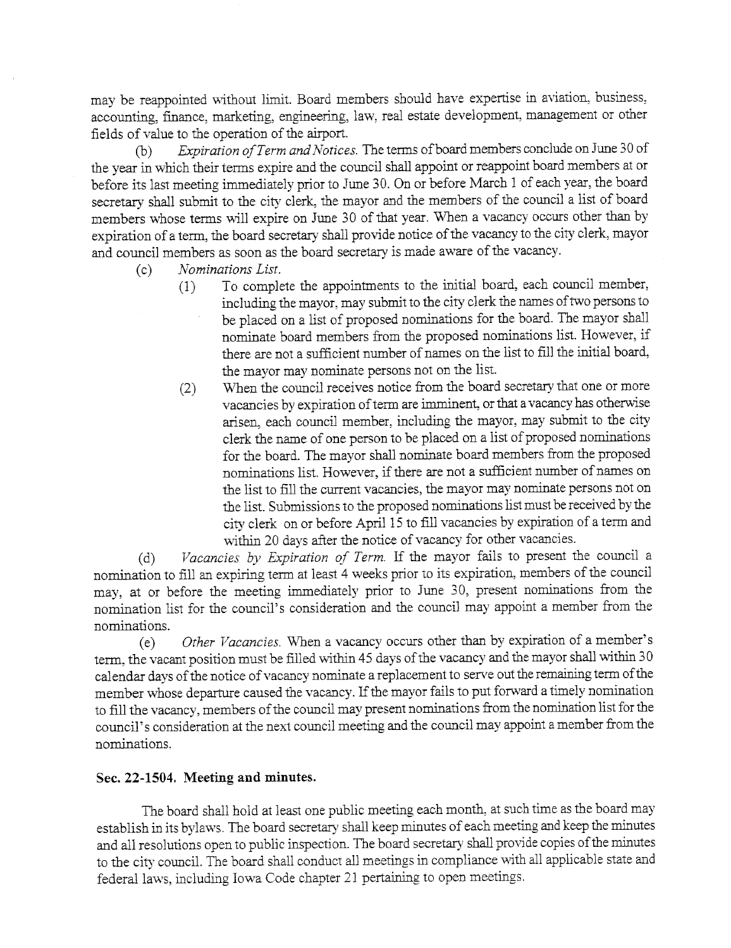may be reappointed without limit. Board members should have expertise in aviation, business, accounting, finance, marketing, engineering, law, real estate development, management or other fields of value to the operation of the airport.

(b) Expiration of Term and Notices. The terms of board members conclude on June 30 of the year in which their terms expire and the council shall appoint or reappoint board members at or before its last meeting immediately prior to June 30. On or before March 1 of each year, the board secretary shall submit to the city clerk, the mayor and the members of the council a list of board members whose terms will expire on June 30 of that year. When a vacancy occurs other than by expiration of a term, the board secretary shall provide notice of the vacancy to the city clerk, mayor and council members as soon as the board secretary is made aware of the vacancy.

- (c)  $Nominations List.$ <br>(1) To comple
	- (1) To complete the appointments to the intial board, each council member, including the mayor, may submit to the city clerk the names of two persons to be placed on a list of proposed nomiations for the board. The mayor shall nomiate board members from the proposed nomiations list. However, if there are not a sufficient number of names on the list to fill the initial board, the mayor may nomiate persons not on the list.
	- $(2)$  When the council receives notice from the board secretary that one or more vacancies by expiration of term are imminent, or that a vacancy has otherwise arisen, each council member, including the mayor, may submit to the city clerk the name of one person to be placed on a list of proposed nomiations for the board. The mayor shall nominate board members from the proposed nominations list. However, if there are not a sufficient number of names on the list to fill the current vacancies, the mayor may nominate persons not on the list. Submissions to the proposed nomiations list must be received by the city clerk on or before April 15 to fill vacancies by expiration of a term and within 20 days after the notice of vacancy for other vacancies.

(d) Vacancies by Expiration of Term. If the mayor fails to present the council a nomination to fill an expiring term at least 4 weeks prior to its expiration, members of the council may, at or before the meeting immediately prior to June 30, present nominations from the nomiation list for the council's consideration and the council may appoint a member from the nomiations.

(e) Other Vacancies. When a vacancy occurs other than by expiration of a member's term, the vacant position must be filled within 45 days of the vacancy and the mayor shall within 30 calendar days of the notice of vacancy nominate a replacement to serve out the remaining term of the member whose departure caused the vacancy. If the mayor fails to put forward a timely nomination to fill the vacancy, members of the council may present nominations from the nomination list for the council's consideration at the next council meeting and the council may appoint a member from the nomiations.

#### Sec. 22-1504. Meetig and minutes.

The board shall hold at least one public meeting each month, at such time as the board may establish in its bylaws. The board secretary shall keep minutes of each meeting and keep the minutes and all resolutions open to public inspection. The board secretary shall provide copies of the minutes to the city counciL. The board shall conduct all meetings in compliance \\'Ìth all applicable state and federal laws, including Iowa Code chapter 21 pertaining to open meetings.